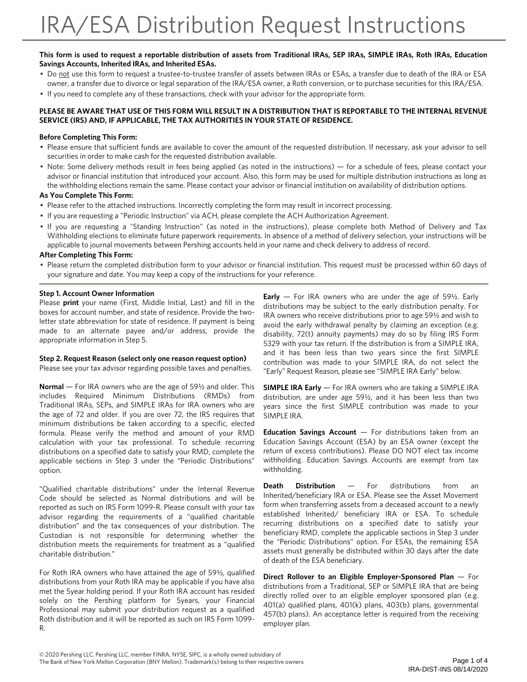#### **This form is used to request a reportable distribution of assets from Traditional IRAs, SEP IRAs, SIMPLE IRAs, Roth IRAs, Education Savings Accounts, Inherited IRAs, and Inherited ESAs.**

- Do not use this form to request a trustee-to-trustee transfer of assets between IRAs or ESAs, a transfer due to death of the IRA or ESA owner, a transfer due to divorce or legal separation of the IRA/ESA owner, a Roth conversion, or to purchase securities for this IRA/ESA.
- If you need to complete any of these transactions, check with your advisor for the appropriate form.

#### **PLEASE BE AWARE THAT USE OF THIS FORM WILL RESULT IN A DISTRIBUTION THAT IS REPORTABLE TO THE INTERNAL REVENUE SERVICE (IRS) AND, IF APPLICABLE, THE TAX AUTHORITIES IN YOUR STATE OF RESIDENCE.**

#### **Before Completing This Form:**

- Please ensure that sufficient funds are available to cover the amount of the requested distribution. If necessary, ask your advisor to sell securities in order to make cash for the requested distribution available.
- Note: Some delivery methods result in fees being applied (as noted in the instructions) for a schedule of fees, please contact your advisor or financial institution that introduced your account. Also, this form may be used for multiple distribution instructions as long as the withholding elections remain the same. Please contact your advisor or financial institution on availability of distribution options.

#### **As You Complete This Form:**

- Please refer to the attached instructions. Incorrectly completing the form may result in incorrect processing.
- If you are requesting a "Periodic Instruction" via ACH, please complete the ACH Authorization Agreement.
- If you are requesting a "Standing Instruction" (as noted in the instructions), please complete both Method of Delivery and Tax Withholding elections to eliminate future paperwork requirements. In absence of a method of delivery selection, your instructions will be applicable to journal movements between Pershing accounts held in your name and check delivery to address of record.

#### **After Completing This Form:**

• Please return the completed distribution form to your advisor or financial institution. This request must be processed within 60 days of your signature and date. You may keep a copy of the instructions for your reference.

#### **Step 1. Account Owner Information**

Please **print** your name (First, Middle Initial, Last) and fill in the boxes for account number, and state of residence. Provide the twoletter state abbreviation for state of residence. If payment is being made to an alternate payee and/or address, provide the appropriate information in Step 5.

#### **Step 2. Request Reason (select only one reason request option)**

Please see your tax advisor regarding possible taxes and penalties.

**Normal** — For IRA owners who are the age of 59½ and older. This includes Required Minimum Distributions (RMDs) from Traditional IRAs, SEPs, and SIMPLE IRAs for IRA owners who are the age of 72 and older. If you are over 72, the IRS requires that minimum distributions be taken according to a specific, elected formula. Please verify the method and amount of your RMD calculation with your tax professional. To schedule recurring distributions on a specified date to satisfy your RMD, complete the applicable sections in Step 3 under the "Periodic Distributions" option.

"Qualified charitable distributions" under the Internal Revenue Code should be selected as Normal distributions and will be reported as such on IRS Form 1099-R. Please consult with your tax advisor regarding the requirements of a "qualified charitable distribution" and the tax consequences of your distribution. The Custodian is not responsible for determining whether the distribution meets the requirements for treatment as a "qualified charitable distribution."

For Roth IRA owners who have attained the age of 59½, qualified distributions from your Roth IRA may be applicable if you have also met the 5year holding period. If your Roth IRA account has resided solely on the Pershing platform for 5years, your Financial Professional may submit your distribution request as a qualified Roth distribution and it will be reported as such on IRS Form 1099- R.

**Early** — For IRA owners who are under the age of 59½. Early distributions may be subject to the early distribution penalty. For IRA owners who receive distributions prior to age 59½ and wish to avoid the early withdrawal penalty by claiming an exception (e.g. disability, 72(t) annuity payments) may do so by filing IRS Form 5329 with your tax return. If the distribution is from a SIMPLE IRA, and it has been less than two years since the first SIMPLE contribution was made to your SIMPLE IRA, do not select the "Early" Request Reason, please see "SIMPLE IRA Early" below.

**SIMPLE IRA Early** — For IRA owners who are taking a SIMPLE IRA distribution, are under age 59½, and it has been less than two years since the first SIMPLE contribution was made to your SIMPLE IRA.

**Education Savings Account** — For distributions taken from an Education Savings Account (ESA) by an ESA owner (except the return of excess contributions). Please DO NOT elect tax income withholding. Education Savings Accounts are exempt from tax withholding.

**Death Distribution** — For distributions from an Inherited/beneficiary IRA or ESA. Please see the Asset Movement form when transferring assets from a deceased account to a newly established Inherited/ beneficiary IRA or ESA. To schedule recurring distributions on a specified date to satisfy your beneficiary RMD, complete the applicable sections in Step 3 under the "Periodic Distributions" option. For ESAs, the remaining ESA assets must generally be distributed within 30 days after the date of death of the ESA beneficiary.

**Direct Rollover to an Eligible Employer-Sponsored Plan** — For distributions from a Traditional, SEP or SIMPLE IRA that are being directly rolled over to an eligible employer sponsored plan (e.g. 401(a) qualified plans, 401(k) plans, 403(b) plans, governmental 457(b) plans). An acceptance letter is required from the receiving employer plan.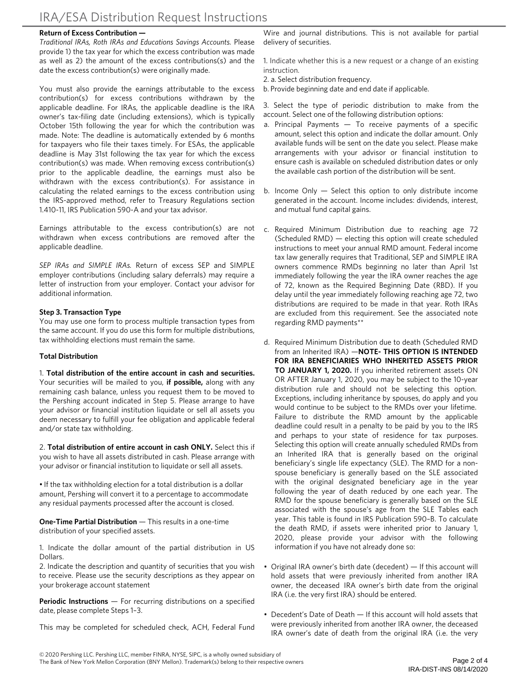#### **Return of Excess Contribution —**

*Traditional IRAs, Roth IRAs and Educations Savings Accounts.* Please provide 1) the tax year for which the excess contribution was made as well as 2) the amount of the excess contributions(s) and the date the excess contribution(s) were originally made.

You must also provide the earnings attributable to the excess contribution(s) for excess contributions withdrawn by the applicable deadline. For IRAs, the applicable deadline is the IRA owner's tax-filing date (including extensions), which is typically October 15th following the year for which the contribution was made. Note: The deadline is automatically extended by 6 months for taxpayers who file their taxes timely. For ESAs, the applicable deadline is May 31st following the tax year for which the excess contribution(s) was made. When removing excess contribution(s) prior to the applicable deadline, the earnings must also be withdrawn with the excess contribution(s). For assistance in calculating the related earnings to the excess contribution using the IRS-approved method, refer to Treasury Regulations section 1.410-11, IRS Publication 590-A and your tax advisor.

Earnings attributable to the excess contribution(s) are not withdrawn when excess contributions are removed after the applicable deadline.

*SEP IRAs and SIMPLE IRAs.* Return of excess SEP and SIMPLE employer contributions (including salary deferrals) may require a letter of instruction from your employer. Contact your advisor for additional information.

#### **Step 3. Transaction Type**

You may use one form to process multiple transaction types from the same account. If you do use this form for multiple distributions, tax withholding elections must remain the same.

### **Total Distribution**

1. **Total distribution of the entire account in cash and securities.** Your securities will be mailed to you, **if possible,** along with any remaining cash balance, unless you request them to be moved to the Pershing account indicated in Step 5. Please arrange to have your advisor or financial institution liquidate or sell all assets you deem necessary to fulfill your fee obligation and applicable federal and/or state tax withholding.

2. **Total distribution of entire account in cash ONLY.** Select this if you wish to have all assets distributed in cash. Please arrange with your advisor or financial institution to liquidate or sell all assets.

• If the tax withholding election for a total distribution is a dollar amount, Pershing will convert it to a percentage to accommodate any residual payments processed after the account is closed.

**One-Time Partial Distribution** — This results in a one-time distribution of your specified assets.

1. Indicate the dollar amount of the partial distribution in US Dollars.

2. Indicate the description and quantity of securities that you wish to receive. Please use the security descriptions as they appear on your brokerage account statement

**Periodic Instructions** — For recurring distributions on a specified date, please complete Steps 1–3.

This may be completed for scheduled check, ACH, Federal Fund

Wire and journal distributions. This is not available for partial delivery of securities.

1. Indicate whether this is a new request or a change of an existing instruction.

- 2. a. Select distribution frequency.
- b. Provide beginning date and end date if applicable.

3. Select the type of periodic distribution to make from the account. Select one of the following distribution options:

- a. Principal Payments  $-$  To receive payments of a specific amount, select this option and indicate the dollar amount. Only available funds will be sent on the date you select. Please make arrangements with your advisor or financial institution to ensure cash is available on scheduled distribution dates or only the available cash portion of the distribution will be sent.
- b. Income Only Select this option to only distribute income generated in the account. Income includes: dividends, interest, and mutual fund capital gains.
- c. Required Minimum Distribution due to reaching age 72 (Scheduled RMD) — electing this option will create scheduled instructions to meet your annual RMD amount. Federal income tax law generally requires that Traditional, SEP and SIMPLE IRA owners commence RMDs beginning no later than April 1st immediately following the year the IRA owner reaches the age of 72, known as the Required Beginning Date (RBD). If you delay until the year immediately following reaching age 72, two distributions are required to be made in that year. Roth IRAs are excluded from this requirement. See the associated note regarding RMD payments\*\*
- d. Required Minimum Distribution due to death (Scheduled RMD from an Inherited IRA) —**NOTE- THIS OPTION IS INTENDED FOR IRA BENEFICIARIES WHO INHERITED ASSETS PRIOR TO JANUARY 1, 2020.** If you inherited retirement assets ON OR AFTER January 1, 2020, you may be subject to the 10-year distribution rule and should not be selecting this option. Exceptions, including inheritance by spouses, do apply and you would continue to be subject to the RMDs over your lifetime. Failure to distribute the RMD amount by the applicable deadline could result in a penalty to be paid by you to the IRS and perhaps to your state of residence for tax purposes. Selecting this option will create annually scheduled RMDs from an Inherited IRA that is generally based on the original beneficiary's single life expectancy (SLE). The RMD for a nonspouse beneficiary is generally based on the SLE associated with the original designated beneficiary age in the year following the year of death reduced by one each year. The RMD for the spouse beneficiary is generally based on the SLE associated with the spouse's age from the SLE Tables each year. This table is found in IRS Publication 590–B. To calculate the death RMD, if assets were inherited prior to January 1, 2020, please provide your advisor with the following information if you have not already done so:
- Original IRA owner's birth date (decedent) If this account will hold assets that were previously inherited from another IRA owner, the deceased IRA owner's birth date from the original IRA (i.e. the very first IRA) should be entered.
- Decedent's Date of Death If this account will hold assets that were previously inherited from another IRA owner, the deceased IRA owner's date of death from the original IRA (i.e. the very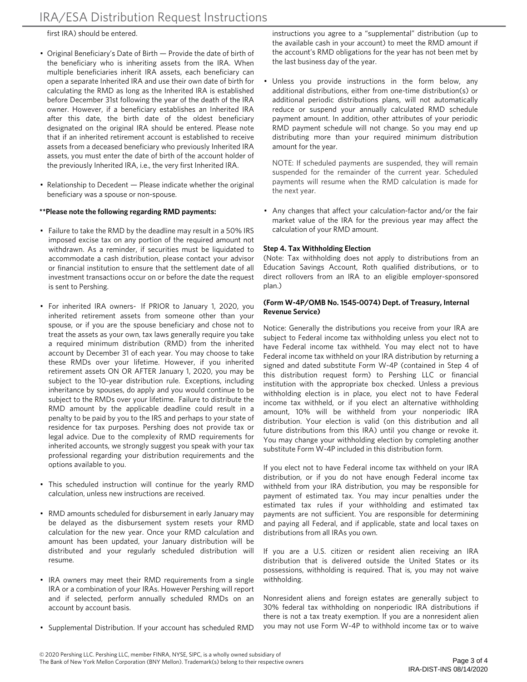first IRA) should be entered.

- Original Beneficiary's Date of Birth Provide the date of birth of the beneficiary who is inheriting assets from the IRA. When multiple beneficiaries inherit IRA assets, each beneficiary can open a separate Inherited IRA and use their own date of birth for calculating the RMD as long as the Inherited IRA is established before December 31st following the year of the death of the IRA owner. However, if a beneficiary establishes an Inherited IRA after this date, the birth date of the oldest beneficiary designated on the original IRA should be entered. Please note that if an inherited retirement account is established to receive assets from a deceased beneficiary who previously Inherited IRA assets, you must enter the date of birth of the account holder of the previously Inherited IRA, i.e., the very first Inherited IRA.
- Relationship to Decedent Please indicate whether the original beneficiary was a spouse or non-spouse.

#### **\*\*Please note the following regarding RMD payments:**

- Failure to take the RMD by the deadline may result in a 50% IRS imposed excise tax on any portion of the required amount not withdrawn. As a reminder, if securities must be liquidated to accommodate a cash distribution, please contact your advisor or financial institution to ensure that the settlement date of all investment transactions occur on or before the date the request is sent to Pershing.
- For inherited IRA owners- If PRIOR to January 1, 2020, you inherited retirement assets from someone other than your spouse, or if you are the spouse beneficiary and chose not to treat the assets as your own, tax laws generally require you take a required minimum distribution (RMD) from the inherited account by December 31 of each year. You may choose to take these RMDs over your lifetime. However, if you inherited retirement assets ON OR AFTER January 1, 2020, you may be subject to the 10-year distribution rule. Exceptions, including inheritance by spouses, do apply and you would continue to be subject to the RMDs over your lifetime. Failure to distribute the RMD amount by the applicable deadline could result in a penalty to be paid by you to the IRS and perhaps to your state of residence for tax purposes. Pershing does not provide tax or legal advice. Due to the complexity of RMD requirements for inherited accounts, we strongly suggest you speak with your tax professional regarding your distribution requirements and the options available to you.
- This scheduled instruction will continue for the yearly RMD calculation, unless new instructions are received.
- RMD amounts scheduled for disbursement in early January may be delayed as the disbursement system resets your RMD calculation for the new year. Once your RMD calculation and amount has been updated, your January distribution will be distributed and your regularly scheduled distribution will resume.
- IRA owners may meet their RMD requirements from a single IRA or a combination of your IRAs. However Pershing will report and if selected, perform annually scheduled RMDs on an account by account basis.
- Supplemental Distribution. If your account has scheduled RMD

instructions you agree to a "supplemental" distribution (up to the available cash in your account) to meet the RMD amount if the account's RMD obligations for the year has not been met by the last business day of the year.

Unless you provide instructions in the form below, any additional distributions, either from one-time distribution(s) or additional periodic distributions plans, will not automatically reduce or suspend your annually calculated RMD schedule payment amount. In addition, other attributes of your periodic RMD payment schedule will not change. So you may end up distributing more than your required minimum distribution amount for the year.

NOTE: If scheduled payments are suspended, they will remain suspended for the remainder of the current year. Scheduled payments will resume when the RMD calculation is made for the next year.

• Any changes that affect your calculation-factor and/or the fair market value of the IRA for the previous year may affect the calculation of your RMD amount.

#### **Step 4. Tax Withholding Election**

(Note: Tax withholding does not apply to distributions from an Education Savings Account, Roth qualified distributions, or to direct rollovers from an IRA to an eligible employer-sponsored plan.)

#### **(Form W-4P/OMB No. 1545-0074) Dept. of Treasury, Internal Revenue Service)**

Notice: Generally the distributions you receive from your IRA are subject to Federal income tax withholding unless you elect not to have Federal income tax withheld. You may elect not to have Federal income tax withheld on your IRA distribution by returning a signed and dated substitute Form W-4P (contained in Step 4 of this distribution request form) to Pershing LLC or financial institution with the appropriate box checked. Unless a previous withholding election is in place, you elect not to have Federal income tax withheld, or if you elect an alternative withholding amount, 10% will be withheld from your nonperiodic IRA distribution. Your election is valid (on this distribution and all future distributions from this IRA) until you change or revoke it. You may change your withholding election by completing another substitute Form W-4P included in this distribution form.

If you elect not to have Federal income tax withheld on your IRA distribution, or if you do not have enough Federal income tax withheld from your IRA distribution, you may be responsible for payment of estimated tax. You may incur penalties under the estimated tax rules if your withholding and estimated tax payments are not sufficient. You are responsible for determining and paying all Federal, and if applicable, state and local taxes on distributions from all IRAs you own.

If you are a U.S. citizen or resident alien receiving an IRA distribution that is delivered outside the United States or its possessions, withholding is required. That is, you may not waive withholding.

Nonresident aliens and foreign estates are generally subject to 30% federal tax withholding on nonperiodic IRA distributions if there is not a tax treaty exemption. If you are a nonresident alien you may not use Form W-4P to withhold income tax or to waive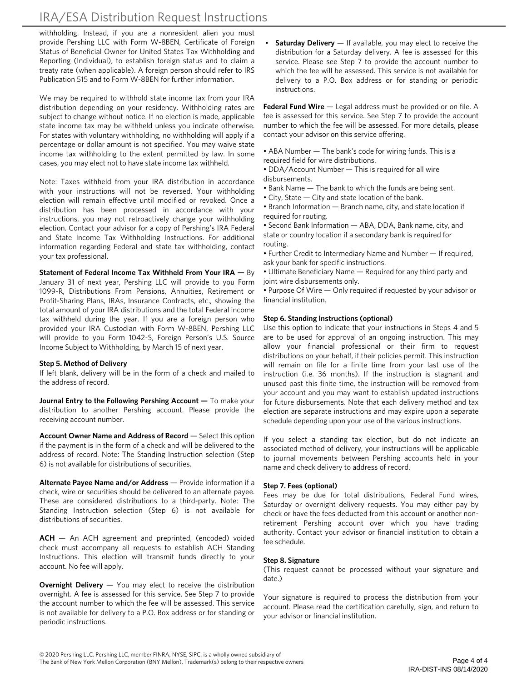# IRA/ESA Distribution Request Instructions

withholding. Instead, if you are a nonresident alien you must provide Pershing LLC with Form W-8BEN, Certificate of Foreign Status of Beneficial Owner for United States Tax Withholding and Reporting (Individual), to establish foreign status and to claim a treaty rate (when applicable). A foreign person should refer to IRS Publication 515 and to Form W-8BEN for further information.

We may be required to withhold state income tax from your IRA distribution depending on your residency. Withholding rates are subject to change without notice. If no election is made, applicable state income tax may be withheld unless you indicate otherwise. For states with voluntary withholding, no withholding will apply if a percentage or dollar amount is not specified. You may waive state income tax withholding to the extent permitted by law. In some cases, you may elect not to have state income tax withheld.

Note: Taxes withheld from your IRA distribution in accordance with your instructions will not be reversed. Your withholding election will remain effective until modified or revoked. Once a distribution has been processed in accordance with your instructions, you may not retroactively change your withholding election. Contact your advisor for a copy of Pershing's IRA Federal and State Income Tax Withholding Instructions. For additional information regarding Federal and state tax withholding, contact your tax professional.

**Statement of Federal Income Tax Withheld From Your IRA —** By January 31 of next year, Pershing LLC will provide to you Form 1099-R, Distributions From Pensions, Annuities, Retirement or Profit-Sharing Plans, IRAs, Insurance Contracts, etc., showing the total amount of your IRA distributions and the total Federal income tax withheld during the year. If you are a foreign person who provided your IRA Custodian with Form W-8BEN, Pershing LLC will provide to you Form 1042-S, Foreign Person's U.S. Source Income Subject to Withholding, by March 15 of next year.

# **Step 5. Method of Delivery**

If left blank, delivery will be in the form of a check and mailed to the address of record.

**Journal Entry to the Following Pershing Account —** To make your distribution to another Pershing account. Please provide the receiving account number.

**Account Owner Name and Address of Record** — Select this option if the payment is in the form of a check and will be delivered to the address of record. Note: The Standing Instruction selection (Step 6) is not available for distributions of securities.

**Alternate Payee Name and/or Address** — Provide information if a check, wire or securities should be delivered to an alternate payee. These are considered distributions to a third-party. Note: The Standing Instruction selection (Step 6) is not available for distributions of securities.

**ACH** — An ACH agreement and preprinted, (encoded) voided check must accompany all requests to establish ACH Standing Instructions. This election will transmit funds directly to your account. No fee will apply.

**Overnight Delivery** — You may elect to receive the distribution overnight. A fee is assessed for this service. See Step 7 to provide the account number to which the fee will be assessed. This service is not available for delivery to a P.O. Box address or for standing or periodic instructions.

**Saturday Delivery** — If available, you may elect to receive the distribution for a Saturday delivery. A fee is assessed for this service. Please see Step 7 to provide the account number to which the fee will be assessed. This service is not available for delivery to a P.O. Box address or for standing or periodic instructions.

**Federal Fund Wire** — Legal address must be provided or on file. A fee is assessed for this service. See Step 7 to provide the account number to which the fee will be assessed. For more details, please contact your advisor on this service offering.

- ABA Number The bank's code for wiring funds. This is a required field for wire distributions.
- DDA/Account Number This is required for all wire disbursements.
- Bank Name The bank to which the funds are being sent.
- City, State City and state location of the bank.
- Branch Information Branch name, city, and state location if required for routing.

• Second Bank Information — ABA, DDA, Bank name, city, and state or country location if a secondary bank is required for routing.

• Further Credit to Intermediary Name and Number — If required, ask your bank for specific instructions.

• Ultimate Beneficiary Name — Required for any third party and joint wire disbursements only.

• Purpose Of Wire — Only required if requested by your advisor or financial institution.

# **Step 6. Standing Instructions (optional)**

Use this option to indicate that your instructions in Steps 4 and 5 are to be used for approval of an ongoing instruction. This may allow your financial professional or their firm to request distributions on your behalf, if their policies permit. This instruction will remain on file for a finite time from your last use of the instruction (i.e. 36 months). If the instruction is stagnant and unused past this finite time, the instruction will be removed from your account and you may want to establish updated instructions for future disbursements. Note that each delivery method and tax election are separate instructions and may expire upon a separate schedule depending upon your use of the various instructions.

If you select a standing tax election, but do not indicate an associated method of delivery, your instructions will be applicable to journal movements between Pershing accounts held in your name and check delivery to address of record.

# **Step 7. Fees (optional)**

Fees may be due for total distributions, Federal Fund wires, Saturday or overnight delivery requests. You may either pay by check or have the fees deducted from this account or another nonretirement Pershing account over which you have trading authority. Contact your advisor or financial institution to obtain a fee schedule.

# **Step 8. Signature**

(This request cannot be processed without your signature and date.)

Your signature is required to process the distribution from your account. Please read the certification carefully, sign, and return to your advisor or financial institution.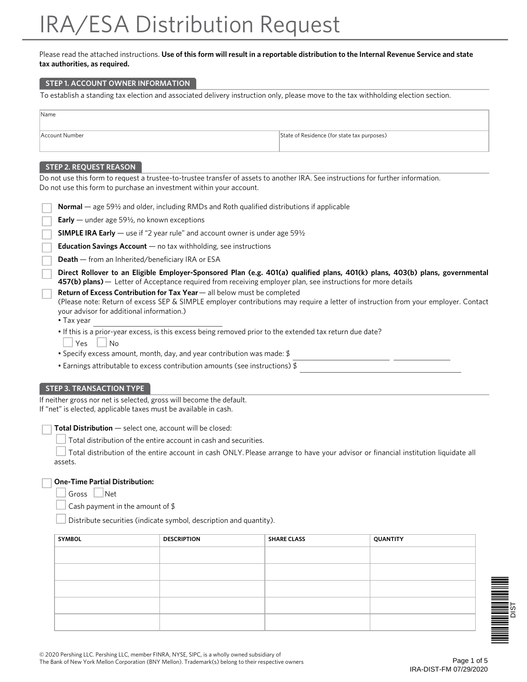# IRA/ESA Distribution Request

#### Please read the attached instructions. **Use of this form will result in a reportable distribution to the Internal Revenue Service and state tax authorities, as required.**

#### **STEP 1. ACCOUNT OWNER INFORMATION**

To establish a standing tax election and associated delivery instruction only, please move to the tax withholding election section.

| Name           |                                             |
|----------------|---------------------------------------------|
|                |                                             |
|                |                                             |
|                |                                             |
| Account Number | State of Residence (for state tax purposes) |
|                |                                             |
|                |                                             |
|                |                                             |

# **STEP 2. REQUEST REASON**

Do not use this form to request a trustee-to-trustee transfer of assets to another IRA. See instructions for further information. Do not use this form to purchase an investment within your account.

| <b>Normal</b> — age 59 $\frac{1}{2}$ and older, including RMDs and Roth qualified distributions if applicable                                                                                                                                                                            |  |  |
|------------------------------------------------------------------------------------------------------------------------------------------------------------------------------------------------------------------------------------------------------------------------------------------|--|--|
| <b>Early</b> — under age 59 $\frac{1}{2}$ , no known exceptions                                                                                                                                                                                                                          |  |  |
| <b>SIMPLE IRA Early</b> — use if "2 year rule" and account owner is under age $59\frac{1}{2}$                                                                                                                                                                                            |  |  |
| <b>Education Savings Account</b> $-$ no tax withholding, see instructions                                                                                                                                                                                                                |  |  |
| <b>Death</b> — from an Inherited/beneficiary IRA or ESA                                                                                                                                                                                                                                  |  |  |
| Direct Rollover to an Eligible Employer-Sponsored Plan (e.g. 401(a) qualified plans, 401(k) plans, 403(b) plans, governmental<br>457(b) plans) — Letter of Acceptance required from receiving employer plan, see instructions for more details                                           |  |  |
| <b>Return of Excess Contribution for Tax Year</b> — all below must be completed<br>(Please note: Return of excess SEP & SIMPLE employer contributions may require a letter of instruction from your employer. Contact<br>your advisor for additional information.)<br>$\bullet$ Tax year |  |  |
| . If this is a prior-year excess, is this excess being removed prior to the extended tax return due date?<br>Yes<br><b>No</b><br>• Specify excess amount, month, day, and year contribution was made: $\frac{1}{2}$                                                                      |  |  |
| • Earnings attributable to excess contribution amounts (see instructions) $$$                                                                                                                                                                                                            |  |  |
| <b>STEP 3. TRANSACTION TYPE</b>                                                                                                                                                                                                                                                          |  |  |
| If neither gross nor net is selected, gross will become the default.                                                                                                                                                                                                                     |  |  |

If "net" is elected, applicable taxes must be available in cash.

**Total Distribution** — select one, account will be closed:

Total distribution of the entire account in cash and securities.

 Total distribution of the entire account in cash ONLY. Please arrange to have your advisor or financial institution liquidate all assets.

# **One-Time Partial Distribution:**

Gross | Net

Cash payment in the amount of \$

Distribute securities (indicate symbol, description and quantity).

| <b>SYMBOL</b> | <b>DESCRIPTION</b> | <b>SHARE CLASS</b> | QUANTITY |
|---------------|--------------------|--------------------|----------|
|               |                    |                    |          |
|               |                    |                    |          |
|               |                    |                    |          |
|               |                    |                    |          |
|               |                    |                    |          |

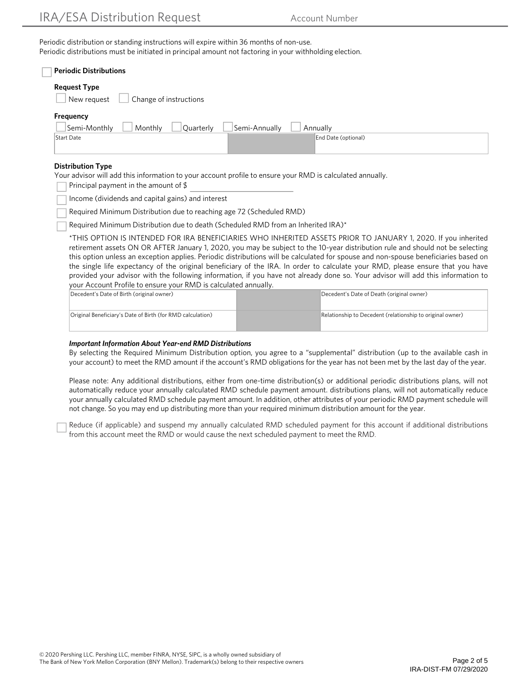Periodic distribution or standing instructions will expire within 36 months of non-use. Periodic distributions must be initiated in principal amount not factoring in your withholding election.

| <b>Periodic Distributions</b>                                                                             |                                                                                                                                                                                                                                                                                                                                                                                         |
|-----------------------------------------------------------------------------------------------------------|-----------------------------------------------------------------------------------------------------------------------------------------------------------------------------------------------------------------------------------------------------------------------------------------------------------------------------------------------------------------------------------------|
| <b>Request Type</b>                                                                                       |                                                                                                                                                                                                                                                                                                                                                                                         |
| Change of instructions<br>New reauest                                                                     |                                                                                                                                                                                                                                                                                                                                                                                         |
| Frequency                                                                                                 |                                                                                                                                                                                                                                                                                                                                                                                         |
| Semi-Monthly<br>Monthly<br>Quarterly                                                                      | Semi-Annually<br>Annually                                                                                                                                                                                                                                                                                                                                                               |
| Start Date                                                                                                | End Date (optional)                                                                                                                                                                                                                                                                                                                                                                     |
| <b>Distribution Type</b>                                                                                  |                                                                                                                                                                                                                                                                                                                                                                                         |
| Your advisor will add this information to your account profile to ensure your RMD is calculated annually. |                                                                                                                                                                                                                                                                                                                                                                                         |
| Principal payment in the amount of $$$                                                                    |                                                                                                                                                                                                                                                                                                                                                                                         |
| Income (dividends and capital gains) and interest                                                         |                                                                                                                                                                                                                                                                                                                                                                                         |
| Required Minimum Distribution due to reaching age 72 (Scheduled RMD)                                      |                                                                                                                                                                                                                                                                                                                                                                                         |
| Required Minimum Distribution due to death (Scheduled RMD from an Inherited IRA)*                         |                                                                                                                                                                                                                                                                                                                                                                                         |
|                                                                                                           | *THIS OPTION IS INTENDED FOR IRA BENEFICIARIES WHO INHERITED ASSETS PRIOR TO JANUARY 1, 2020. If you inherited<br>retirement assets ON OR AFTER January 1, 2020, you may be subject to the 10-year distribution rule and should not be selecting<br>this option unless an exception applies. Periodic distributions will be calculated for spouse and non-spouse beneficiaries based on |
|                                                                                                           | the single life expectancy of the original beneficiary of the IRA. In order to calculate your RMD, please ensure that you have                                                                                                                                                                                                                                                          |
|                                                                                                           | provided your advisor with the following information, if you have not already done so. Your advisor will add this information to                                                                                                                                                                                                                                                        |
| your Account Profile to ensure your RMD is calculated annually.                                           |                                                                                                                                                                                                                                                                                                                                                                                         |
| Decedent's Date of Birth (original owner)                                                                 | Decedent's Date of Death (original owner)                                                                                                                                                                                                                                                                                                                                               |
| Original Beneficiary's Date of Birth (for RMD calculation)                                                | Relationship to Decedent (relationship to original owner)                                                                                                                                                                                                                                                                                                                               |

#### *Important Information About Year-end RMD Distributions*

By selecting the Required Minimum Distribution option, you agree to a "supplemental" distribution (up to the available cash in your account) to meet the RMD amount if the account's RMD obligations for the year has not been met by the last day of the year.

Please note: Any additional distributions, either from one-time distribution(s) or additional periodic distributions plans, will not automatically reduce your annually calculated RMD schedule payment amount. distributions plans, will not automatically reduce your annually calculated RMD schedule payment amount. In addition, other attributes of your periodic RMD payment schedule will not change. So you may end up distributing more than your required minimum distribution amount for the year.

Reduce (if applicable) and suspend my annually calculated RMD scheduled payment for this account if additional distributions from this account meet the RMD or would cause the next scheduled payment to meet the RMD.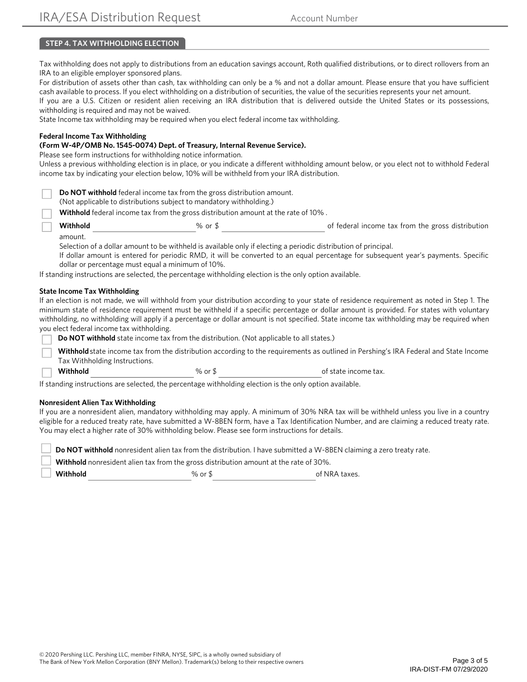# **STEP 4. TAX WITHHOLDING ELECTION**

Tax withholding does not apply to distributions from an education savings account, Roth qualified distributions, or to direct rollovers from an IRA to an eligible employer sponsored plans.

For distribution of assets other than cash, tax withholding can only be a % and not a dollar amount. Please ensure that you have sufficient cash available to process. If you elect withholding on a distribution of securities, the value of the securities represents your net amount.

If you are a U.S. Citizen or resident alien receiving an IRA distribution that is delivered outside the United States or its possessions, withholding is required and may not be waived.

State Income tax withholding may be required when you elect federal income tax withholding.

#### **Federal Income Tax Withholding**

#### **(Form W-4P/OMB No. 1545-0074) Dept. of Treasury, Internal Revenue Service).**

Please see form instructions for withholding notice information.

Unless a previous withholding election is in place, or you indicate a different withholding amount below, or you elect not to withhold Federal income tax by indicating your election below, 10% will be withheld from your IRA distribution.

(Not applicable to distributions subject to mandatory withholding.)

**Withhold** federal income tax from the gross distribution amount at the rate of 10% .

**Withhold Solution 8** or \$ or \$ of federal income tax from the gross distribution amount.

Selection of a dollar amount to be withheld is available only if electing a periodic distribution of principal.

If dollar amount is entered for periodic RMD, it will be converted to an equal percentage for subsequent year's payments. Specific dollar or percentage must equal a minimum of 10%.

If standing instructions are selected, the percentage withholding election is the only option available.

#### **State Income Tax Withholding**

If an election is not made, we will withhold from your distribution according to your state of residence requirement as noted in Step 1. The minimum state of residence requirement must be withheld if a specific percentage or dollar amount is provided. For states with voluntary withholding, no withholding will apply if a percentage or dollar amount is not specified. State income tax withholding may be required when you elect federal income tax withholding.

**Do NOT withhold** state income tax from the distribution. (Not applicable to all states.)

**Withhold** state income tax from the distribution according to the requirements as outlined in Pershing's IRA Federal and State Income Tax Withholding Instructions.

**Withhold Withhold Withhold Withhold Solution Withhold Solution Solution Solution Solution Solution Solution Solution Solution Solution Solution Solution Solution Solution Solution S** 

If standing instructions are selected, the percentage withholding election is the only option available.

#### **Nonresident Alien Tax Withholding**

If you are a nonresident alien, mandatory withholding may apply. A minimum of 30% NRA tax will be withheld unless you live in a country eligible for a reduced treaty rate, have submitted a W-8BEN form, have a Tax Identification Number, and are claiming a reduced treaty rate. You may elect a higher rate of 30% withholding below. Please see form instructions for details.

 **Withhold** nonresident alien tax from the gross distribution amount at the rate of 30%.

**Withhold Constanting Manufacture of NRA taxes.** Withhold **Constanting Manufacture of NRA taxes.**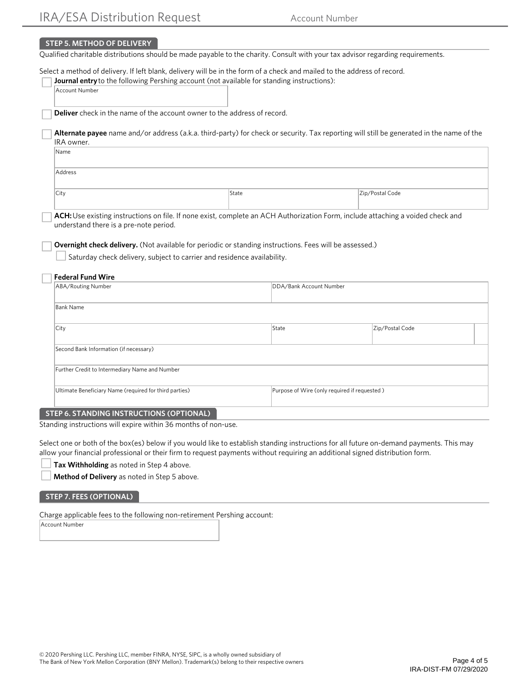#### **STEP 5. METHOD OF DELIVERY**

Qualified charitable distributions should be made payable to the charity. Consult with your tax advisor regarding requirements.

Select a method of delivery. If left blank, delivery will be in the form of a check and mailed to the address of record.

|                                                | Journal entry to the following Pershing account (not available for standing instructions):              |                                                                                                                                          |  |  |
|------------------------------------------------|---------------------------------------------------------------------------------------------------------|------------------------------------------------------------------------------------------------------------------------------------------|--|--|
| Account Number                                 |                                                                                                         |                                                                                                                                          |  |  |
|                                                | <b>Deliver</b> check in the name of the account owner to the address of record.                         |                                                                                                                                          |  |  |
| IRA owner.                                     |                                                                                                         | Alternate payee name and/or address (a.k.a. third-party) for check or security. Tax reporting will still be generated in the name of the |  |  |
| <b>Name</b>                                    |                                                                                                         |                                                                                                                                          |  |  |
| Address                                        |                                                                                                         |                                                                                                                                          |  |  |
| City                                           | State                                                                                                   | Zip/Postal Code                                                                                                                          |  |  |
| understand there is a pre-note period.         | Overnight check delivery. (Not available for periodic or standing instructions. Fees will be assessed.) | ACH: Use existing instructions on file. If none exist, complete an ACH Authorization Form, include attaching a voided check and          |  |  |
| <b>Federal Fund Wire</b>                       | Saturday check delivery, subject to carrier and residence availability.                                 |                                                                                                                                          |  |  |
| ABA/Routing Number                             |                                                                                                         | DDA/Bank Account Number                                                                                                                  |  |  |
| <b>Bank Name</b>                               |                                                                                                         |                                                                                                                                          |  |  |
| City                                           | State                                                                                                   | Zip/Postal Code                                                                                                                          |  |  |
| Second Bank Information (if necessary)         |                                                                                                         |                                                                                                                                          |  |  |
| Further Credit to Intermediary Name and Number |                                                                                                         |                                                                                                                                          |  |  |

#### **STEP 6. STANDING INSTRUCTIONS (OPTIONAL)**

Standing instructions will expire within 36 months of non-use.

Select one or both of the box(es) below if you would like to establish standing instructions for all future on-demand payments. This may allow your financial professional or their firm to request payments without requiring an additional signed distribution form.

**Tax Withholding** as noted in Step 4 above.

**Method of Delivery** as noted in Step 5 above.

#### **STEP 7. FEES (OPTIONAL)**

Charge applicable fees to the following non-retirement Pershing account:

Account Number